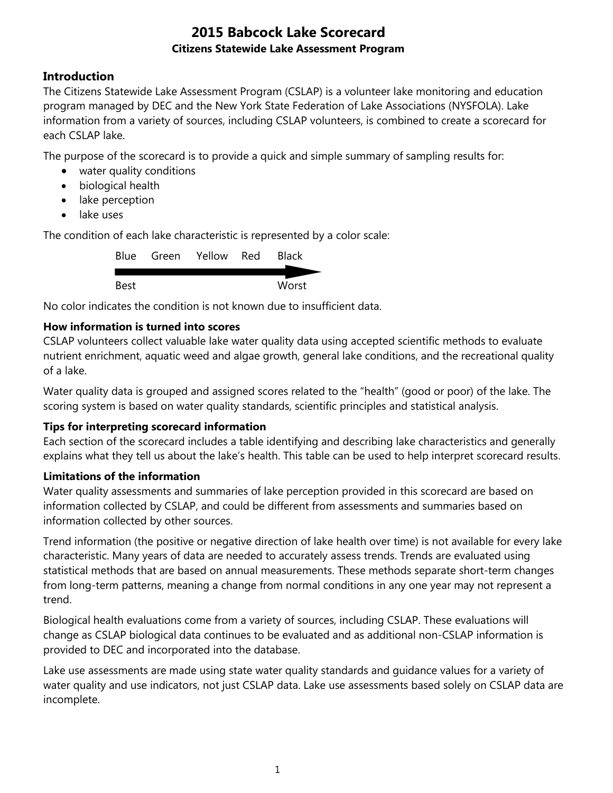### **Introduction**

The Citizens Statewide Lake Assessment Program (CSLAP) is a volunteer lake monitoring and education program managed by DEC and the New York State Federation of Lake Associations (NYSFOLA). Lake information from a variety of sources, including CSLAP volunteers, is combined to create a scorecard for each CSLAP lake.

The purpose of the scorecard is to provide a quick and simple summary of sampling results for:

- water quality conditions
- biological health
- lake perception
- lake uses

The condition of each lake characteristic is represented by a color scale:

|      | Blue Green Yellow Red | <b>Black</b> |
|------|-----------------------|--------------|
|      |                       |              |
| Best |                       | Worst        |

No color indicates the condition is not known due to insufficient data.

#### **How information is turned into scores**

CSLAP volunteers collect valuable lake water quality data using accepted scientific methods to evaluate nutrient enrichment, aquatic weed and algae growth, general lake conditions, and the recreational quality of a lake.

Water quality data is grouped and assigned scores related to the "health" (good or poor) of the lake. The scoring system is based on water quality standards, scientific principles and statistical analysis.

#### **Tips for interpreting scorecard information**

Each section of the scorecard includes a table identifying and describing lake characteristics and generally explains what they tell us about the lake's health. This table can be used to help interpret scorecard results.

#### **Limitations of the information**

Water quality assessments and summaries of lake perception provided in this scorecard are based on information collected by CSLAP, and could be different from assessments and summaries based on information collected by other sources.

Trend information (the positive or negative direction of lake health over time) is not available for every lake characteristic. Many years of data are needed to accurately assess trends. Trends are evaluated using statistical methods that are based on annual measurements. These methods separate short-term changes from long-term patterns, meaning a change from normal conditions in any one year may not represent a trend.

Biological health evaluations come from a variety of sources, including CSLAP. These evaluations will change as CSLAP biological data continues to be evaluated and as additional non-CSLAP information is provided to DEC and incorporated into the database.

Lake use assessments are made using state water quality standards and guidance values for a variety of water quality and use indicators, not just CSLAP data. Lake use assessments based solely on CSLAP data are incomplete.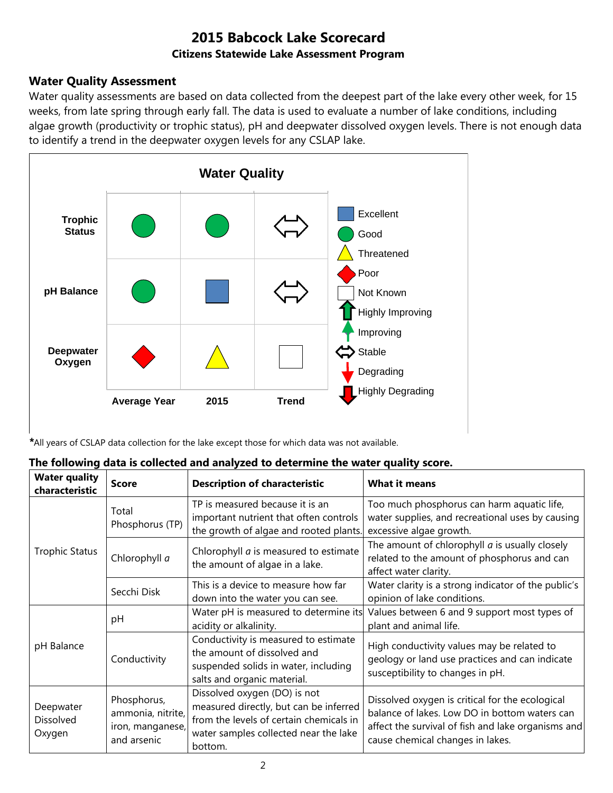#### **Water Quality Assessment**

Water quality assessments are based on data collected from the deepest part of the lake every other week, for 15 weeks, from late spring through early fall. The data is used to evaluate a number of lake conditions, including algae growth (productivity or trophic status), pH and deepwater dissolved oxygen levels. There is not enough data to identify a trend in the deepwater oxygen levels for any CSLAP lake.



*\**All years of CSLAP data collection for the lake except those for which data was not available.

| The following data is collected and analyzed to determine the water quality score. |  |
|------------------------------------------------------------------------------------|--|
|------------------------------------------------------------------------------------|--|

| <b>Water quality</b><br>characteristic | <b>Score</b>                                                        | <b>Description of characteristic</b>                                                                                                                                  | <b>What it means</b>                                                                                                                                                                       |
|----------------------------------------|---------------------------------------------------------------------|-----------------------------------------------------------------------------------------------------------------------------------------------------------------------|--------------------------------------------------------------------------------------------------------------------------------------------------------------------------------------------|
|                                        | Total<br>Phosphorus (TP)                                            | TP is measured because it is an<br>important nutrient that often controls<br>the growth of algae and rooted plants.                                                   | Too much phosphorus can harm aquatic life,<br>water supplies, and recreational uses by causing<br>excessive algae growth.                                                                  |
| <b>Trophic Status</b>                  | Chlorophyll a                                                       | Chlorophyll <i>a</i> is measured to estimate<br>the amount of algae in a lake.                                                                                        | The amount of chlorophyll $a$ is usually closely<br>related to the amount of phosphorus and can<br>affect water clarity.                                                                   |
|                                        | Secchi Disk                                                         | This is a device to measure how far<br>down into the water you can see.                                                                                               | Water clarity is a strong indicator of the public's<br>opinion of lake conditions.                                                                                                         |
|                                        | pH                                                                  | Water pH is measured to determine its<br>acidity or alkalinity.                                                                                                       | Values between 6 and 9 support most types of<br>plant and animal life.                                                                                                                     |
| pH Balance<br>Conductivity             |                                                                     | Conductivity is measured to estimate<br>the amount of dissolved and<br>suspended solids in water, including<br>salts and organic material.                            | High conductivity values may be related to<br>geology or land use practices and can indicate<br>susceptibility to changes in pH.                                                           |
| Deepwater<br>Dissolved<br>Oxygen       | Phosphorus,<br>ammonia, nitrite,<br>iron, manganese,<br>and arsenic | Dissolved oxygen (DO) is not<br>measured directly, but can be inferred<br>from the levels of certain chemicals in<br>water samples collected near the lake<br>bottom. | Dissolved oxygen is critical for the ecological<br>balance of lakes. Low DO in bottom waters can<br>affect the survival of fish and lake organisms and<br>cause chemical changes in lakes. |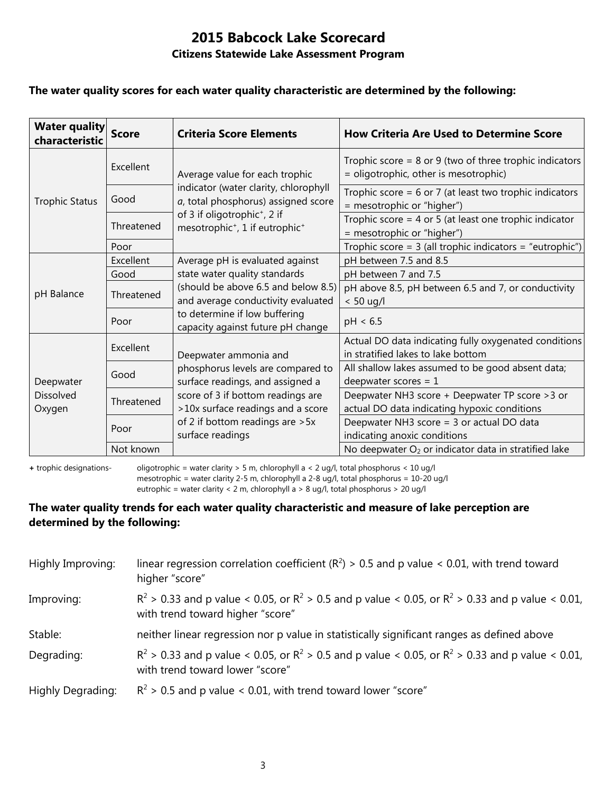#### **The water quality scores for each water quality characteristic are determined by the following:**

| <b>Water quality</b><br>characteristic | <b>Score</b> | <b>Criteria Score Elements</b>                                                                                 | <b>How Criteria Are Used to Determine Score</b>                                                      |
|----------------------------------------|--------------|----------------------------------------------------------------------------------------------------------------|------------------------------------------------------------------------------------------------------|
| <b>Trophic Status</b>                  | Excellent    | Average value for each trophic<br>indicator (water clarity, chlorophyll<br>a, total phosphorus) assigned score | Trophic score = $8$ or $9$ (two of three trophic indicators<br>= oligotrophic, other is mesotrophic) |
|                                        | Good         |                                                                                                                | Trophic score = $6$ or 7 (at least two trophic indicators<br>= mesotrophic or "higher")              |
|                                        | Threatened   | of 3 if oligotrophic <sup>+</sup> , 2 if<br>mesotrophic <sup>+</sup> , 1 if eutrophic <sup>+</sup>             | Trophic score = $4$ or $5$ (at least one trophic indicator<br>= mesotrophic or "higher")             |
|                                        | Poor         |                                                                                                                | Trophic score = $3$ (all trophic indicators = "eutrophic")                                           |
| pH Balance                             | Excellent    | Average pH is evaluated against                                                                                | pH between 7.5 and 8.5                                                                               |
|                                        | Good         | state water quality standards                                                                                  | pH between 7 and 7.5                                                                                 |
|                                        | Threatened   | (should be above 6.5 and below 8.5)<br>and average conductivity evaluated                                      | pH above 8.5, pH between 6.5 and 7, or conductivity<br>$< 50$ ug/l                                   |
|                                        | Poor         | to determine if low buffering<br>capacity against future pH change                                             | pH < 6.5                                                                                             |
| Deepwater<br>Dissolved<br>Oxygen       | Excellent    | Deepwater ammonia and<br>phosphorus levels are compared to<br>surface readings, and assigned a                 | Actual DO data indicating fully oxygenated conditions<br>in stratified lakes to lake bottom          |
|                                        | Good         |                                                                                                                | All shallow lakes assumed to be good absent data;<br>deepwater scores = $1$                          |
|                                        | Threatened   | score of 3 if bottom readings are<br>>10x surface readings and a score                                         | Deepwater NH3 score + Deepwater TP score > 3 or<br>actual DO data indicating hypoxic conditions      |
|                                        | Poor         | of 2 if bottom readings are > 5x<br>surface readings                                                           | Deepwater NH3 score = 3 or actual DO data<br>indicating anoxic conditions                            |
|                                        | Not known    |                                                                                                                | No deepwater O <sub>2</sub> or indicator data in stratified lake                                     |

**+** trophic designations- oligotrophic = water clarity > 5 m, chlorophyll a < 2 ug/l, total phosphorus < 10 ug/l mesotrophic = water clarity 2-5 m, chlorophyll a 2-8 ug/l, total phosphorus = 10-20 ug/l

eutrophic = water clarity < 2 m, chlorophyll a > 8 ug/l, total phosphorus > 20 ug/l

#### **The water quality trends for each water quality characteristic and measure of lake perception are determined by the following:**

| Highly Improving: | linear regression correlation coefficient ( $R^2$ ) > 0.5 and p value < 0.01, with trend toward<br>higher "score"                           |
|-------------------|---------------------------------------------------------------------------------------------------------------------------------------------|
| Improving:        | $R^2 > 0.33$ and p value < 0.05, or $R^2 > 0.5$ and p value < 0.05, or $R^2 > 0.33$ and p value < 0.01,<br>with trend toward higher "score" |
| Stable:           | neither linear regression nor p value in statistically significant ranges as defined above                                                  |
| Degrading:        | $R^2 > 0.33$ and p value < 0.05, or $R^2 > 0.5$ and p value < 0.05, or $R^2 > 0.33$ and p value < 0.01,<br>with trend toward lower "score"  |
| Highly Degrading: | $R^2$ > 0.5 and p value < 0.01, with trend toward lower "score"                                                                             |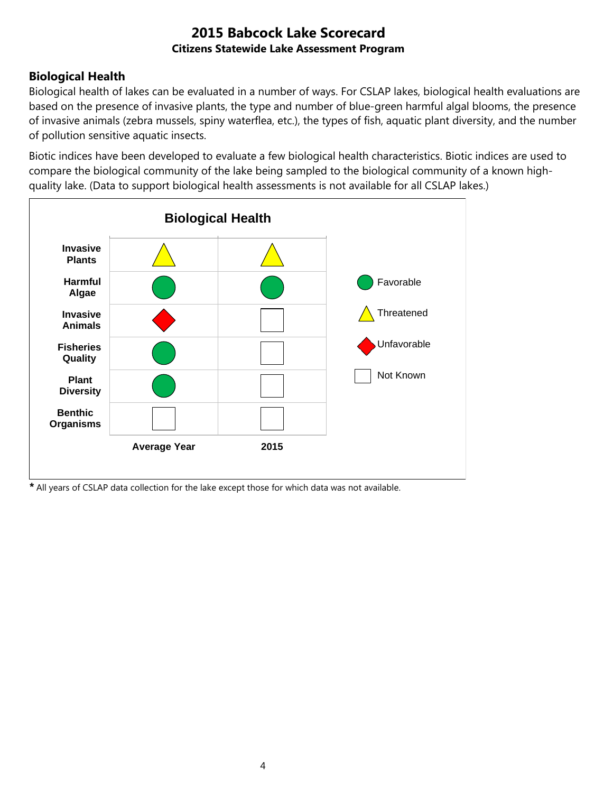## **Biological Health**

Biological health of lakes can be evaluated in a number of ways. For CSLAP lakes, biological health evaluations are based on the presence of invasive plants, the type and number of blue-green harmful algal blooms, the presence of invasive animals (zebra mussels, spiny waterflea, etc.), the types of fish, aquatic plant diversity, and the number of pollution sensitive aquatic insects.

Biotic indices have been developed to evaluate a few biological health characteristics. Biotic indices are used to compare the biological community of the lake being sampled to the biological community of a known highquality lake. (Data to support biological health assessments is not available for all CSLAP lakes.)



*\** All years of CSLAP data collection for the lake except those for which data was not available.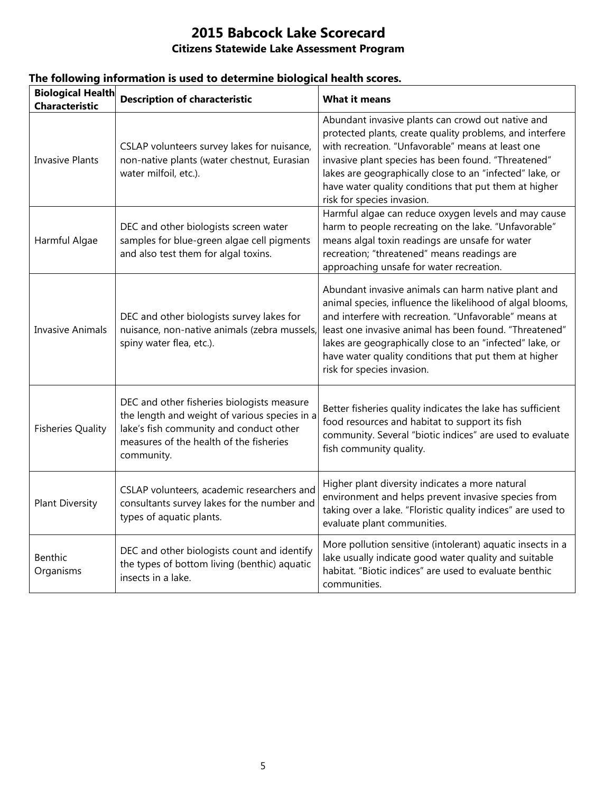| <b>Biological Health</b><br><b>Characteristic</b> | <b>Description of characteristic</b>                                                                                                                                                            | <b>What it means</b>                                                                                                                                                                                                                                                                                                                                                                   |
|---------------------------------------------------|-------------------------------------------------------------------------------------------------------------------------------------------------------------------------------------------------|----------------------------------------------------------------------------------------------------------------------------------------------------------------------------------------------------------------------------------------------------------------------------------------------------------------------------------------------------------------------------------------|
| <b>Invasive Plants</b>                            | CSLAP volunteers survey lakes for nuisance,<br>non-native plants (water chestnut, Eurasian<br>water milfoil, etc.).                                                                             | Abundant invasive plants can crowd out native and<br>protected plants, create quality problems, and interfere<br>with recreation. "Unfavorable" means at least one<br>invasive plant species has been found. "Threatened"<br>lakes are geographically close to an "infected" lake, or<br>have water quality conditions that put them at higher<br>risk for species invasion.           |
| Harmful Algae                                     | DEC and other biologists screen water<br>samples for blue-green algae cell pigments<br>and also test them for algal toxins.                                                                     | Harmful algae can reduce oxygen levels and may cause<br>harm to people recreating on the lake. "Unfavorable"<br>means algal toxin readings are unsafe for water<br>recreation; "threatened" means readings are<br>approaching unsafe for water recreation.                                                                                                                             |
| <b>Invasive Animals</b>                           | DEC and other biologists survey lakes for<br>nuisance, non-native animals (zebra mussels,<br>spiny water flea, etc.).                                                                           | Abundant invasive animals can harm native plant and<br>animal species, influence the likelihood of algal blooms,<br>and interfere with recreation. "Unfavorable" means at<br>least one invasive animal has been found. "Threatened"<br>lakes are geographically close to an "infected" lake, or<br>have water quality conditions that put them at higher<br>risk for species invasion. |
| <b>Fisheries Quality</b>                          | DEC and other fisheries biologists measure<br>the length and weight of various species in a<br>lake's fish community and conduct other<br>measures of the health of the fisheries<br>community. | Better fisheries quality indicates the lake has sufficient<br>food resources and habitat to support its fish<br>community. Several "biotic indices" are used to evaluate<br>fish community quality.                                                                                                                                                                                    |
| <b>Plant Diversity</b>                            | CSLAP volunteers, academic researchers and<br>consultants survey lakes for the number and<br>types of aquatic plants.                                                                           | Higher plant diversity indicates a more natural<br>environment and helps prevent invasive species from<br>taking over a lake. "Floristic quality indices" are used to<br>evaluate plant communities.                                                                                                                                                                                   |
| <b>Benthic</b><br>Organisms                       | DEC and other biologists count and identify<br>the types of bottom living (benthic) aquatic<br>insects in a lake.                                                                               | More pollution sensitive (intolerant) aquatic insects in a<br>lake usually indicate good water quality and suitable<br>habitat. "Biotic indices" are used to evaluate benthic<br>communities.                                                                                                                                                                                          |

### **The following information is used to determine biological health scores.**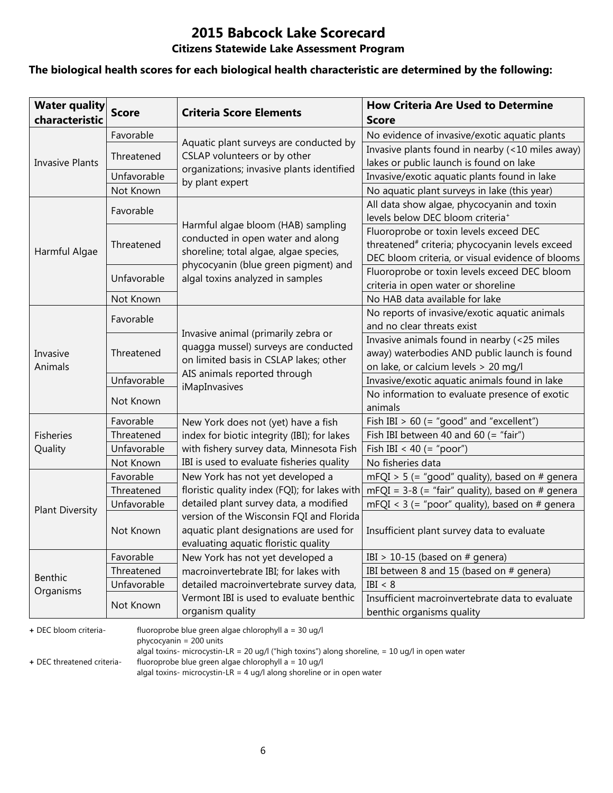# **2015 Babcock Lake Scorecard**

#### **Citizens Statewide Lake Assessment Program**

#### **The biological health scores for each biological health characteristic are determined by the following:**

| <b>Water quality</b><br>characteristic | <b>Score</b> | <b>Criteria Score Elements</b>                                                                                              | <b>How Criteria Are Used to Determine</b><br><b>Score</b>                                                                                                 |
|----------------------------------------|--------------|-----------------------------------------------------------------------------------------------------------------------------|-----------------------------------------------------------------------------------------------------------------------------------------------------------|
|                                        | Favorable    |                                                                                                                             | No evidence of invasive/exotic aquatic plants                                                                                                             |
|                                        | Threatened   | Aquatic plant surveys are conducted by<br>CSLAP volunteers or by other                                                      | Invasive plants found in nearby (<10 miles away)                                                                                                          |
| <b>Invasive Plants</b>                 |              | organizations; invasive plants identified                                                                                   | lakes or public launch is found on lake                                                                                                                   |
|                                        | Unfavorable  | by plant expert                                                                                                             | Invasive/exotic aquatic plants found in lake                                                                                                              |
|                                        | Not Known    |                                                                                                                             | No aquatic plant surveys in lake (this year)                                                                                                              |
|                                        | Favorable    |                                                                                                                             | All data show algae, phycocyanin and toxin<br>levels below DEC bloom criteria <sup>+</sup>                                                                |
| Harmful Algae                          | Threatened   | Harmful algae bloom (HAB) sampling<br>conducted in open water and along<br>shoreline; total algae, algae species,           | Fluoroprobe or toxin levels exceed DEC<br>threatened <sup>#</sup> criteria; phycocyanin levels exceed<br>DEC bloom criteria, or visual evidence of blooms |
|                                        | Unfavorable  | phycocyanin (blue green pigment) and<br>algal toxins analyzed in samples                                                    | Fluoroprobe or toxin levels exceed DEC bloom<br>criteria in open water or shoreline                                                                       |
|                                        | Not Known    |                                                                                                                             | No HAB data available for lake                                                                                                                            |
|                                        | Favorable    |                                                                                                                             | No reports of invasive/exotic aquatic animals                                                                                                             |
|                                        |              | Invasive animal (primarily zebra or                                                                                         | and no clear threats exist                                                                                                                                |
| Invasive<br>Animals                    | Threatened   | quagga mussel) surveys are conducted<br>on limited basis in CSLAP lakes; other                                              | Invasive animals found in nearby (<25 miles<br>away) waterbodies AND public launch is found<br>on lake, or calcium levels > 20 mg/l                       |
|                                        | Unfavorable  | AIS animals reported through                                                                                                | Invasive/exotic aquatic animals found in lake                                                                                                             |
|                                        | Not Known    | iMapInvasives                                                                                                               | No information to evaluate presence of exotic<br>animals                                                                                                  |
|                                        | Favorable    | New York does not (yet) have a fish                                                                                         | Fish IBI $> 60$ (= "good" and "excellent")                                                                                                                |
| <b>Fisheries</b>                       | Threatened   | index for biotic integrity (IBI); for lakes                                                                                 | Fish IBI between 40 and 60 (= "fair")                                                                                                                     |
| Quality                                | Unfavorable  | with fishery survey data, Minnesota Fish                                                                                    | Fish IBI < 40 (= "poor")                                                                                                                                  |
|                                        | Not Known    | IBI is used to evaluate fisheries quality                                                                                   | No fisheries data                                                                                                                                         |
|                                        | Favorable    | New York has not yet developed a                                                                                            | mFQI > 5 (= "good" quality), based on # genera                                                                                                            |
|                                        | Threatened   | floristic quality index (FQI); for lakes with                                                                               | mFQI = $3-8$ (= "fair" quality), based on # genera                                                                                                        |
| <b>Plant Diversity</b>                 | Unfavorable  | detailed plant survey data, a modified                                                                                      | mFQI < $3$ (= "poor" quality), based on # genera                                                                                                          |
|                                        | Not Known    | version of the Wisconsin FQI and Florida<br>aquatic plant designations are used for<br>evaluating aquatic floristic quality | Insufficient plant survey data to evaluate                                                                                                                |
|                                        | Favorable    | New York has not yet developed a                                                                                            | IBI > 10-15 (based on $#$ genera)                                                                                                                         |
| <b>Benthic</b>                         | Threatened   | macroinvertebrate IBI; for lakes with                                                                                       | IBI between 8 and 15 (based on # genera)                                                                                                                  |
| Organisms                              | Unfavorable  | detailed macroinvertebrate survey data,                                                                                     | IBI < 8                                                                                                                                                   |
|                                        | Not Known    | Vermont IBI is used to evaluate benthic<br>organism quality                                                                 | Insufficient macroinvertebrate data to evaluate<br>benthic organisms quality                                                                              |

**+** DEC bloom criteria- fluoroprobe blue green algae chlorophyll a = 30 ug/l

phycocyanin = 200 units

algal toxins- microcystin-LR = 20 ug/l ("high toxins") along shoreline, = 10 ug/l in open water

**+** DEC threatened criteria- fluoroprobe blue green algae chlorophyll a = 10 ug/l

algal toxins- microcystin-LR = 4 ug/l along shoreline or in open water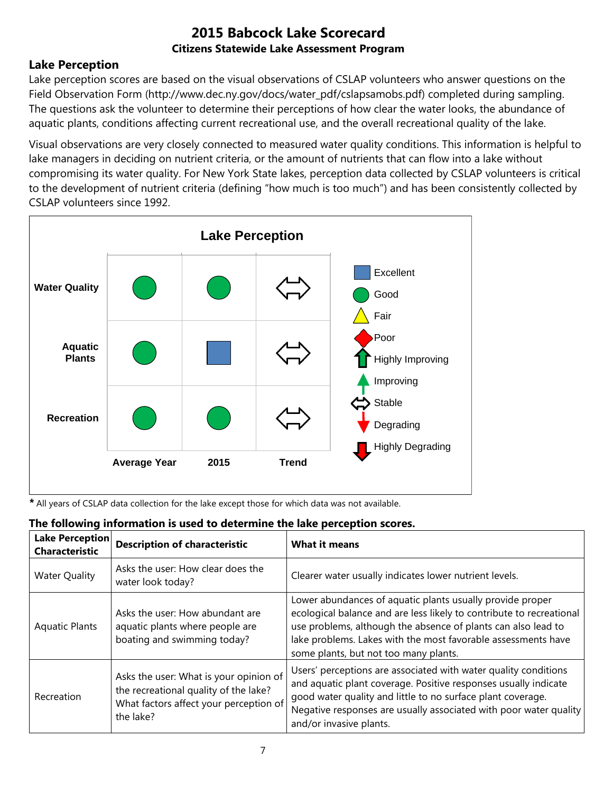### **Lake Perception**

Lake perception scores are based on the visual observations of CSLAP volunteers who answer questions on the Field Observation Form (http://www.dec.ny.gov/docs/water\_pdf/cslapsamobs.pdf) completed during sampling. The questions ask the volunteer to determine their perceptions of how clear the water looks, the abundance of aquatic plants, conditions affecting current recreational use, and the overall recreational quality of the lake.

Visual observations are very closely connected to measured water quality conditions. This information is helpful to lake managers in deciding on nutrient criteria, or the amount of nutrients that can flow into a lake without compromising its water quality. For New York State lakes, perception data collected by CSLAP volunteers is critical to the development of nutrient criteria (defining "how much is too much") and has been consistently collected by CSLAP volunteers since 1992.



*\** All years of CSLAP data collection for the lake except those for which data was not available.

| <b>Lake Perception</b><br><b>Characteristic</b> | <b>Description of characteristic</b>                                                                                                   | <b>What it means</b>                                                                                                                                                                                                                                                                                         |
|-------------------------------------------------|----------------------------------------------------------------------------------------------------------------------------------------|--------------------------------------------------------------------------------------------------------------------------------------------------------------------------------------------------------------------------------------------------------------------------------------------------------------|
| <b>Water Quality</b>                            | Asks the user: How clear does the<br>water look today?                                                                                 | Clearer water usually indicates lower nutrient levels.                                                                                                                                                                                                                                                       |
| <b>Aquatic Plants</b>                           | Asks the user: How abundant are<br>aquatic plants where people are<br>boating and swimming today?                                      | Lower abundances of aquatic plants usually provide proper<br>ecological balance and are less likely to contribute to recreational<br>use problems, although the absence of plants can also lead to<br>lake problems. Lakes with the most favorable assessments have<br>some plants, but not too many plants. |
| Recreation                                      | Asks the user: What is your opinion of<br>the recreational quality of the lake?<br>What factors affect your perception of<br>the lake? | Users' perceptions are associated with water quality conditions<br>and aquatic plant coverage. Positive responses usually indicate<br>good water quality and little to no surface plant coverage.<br>Negative responses are usually associated with poor water quality<br>and/or invasive plants.            |

## **The following information is used to determine the lake perception scores.**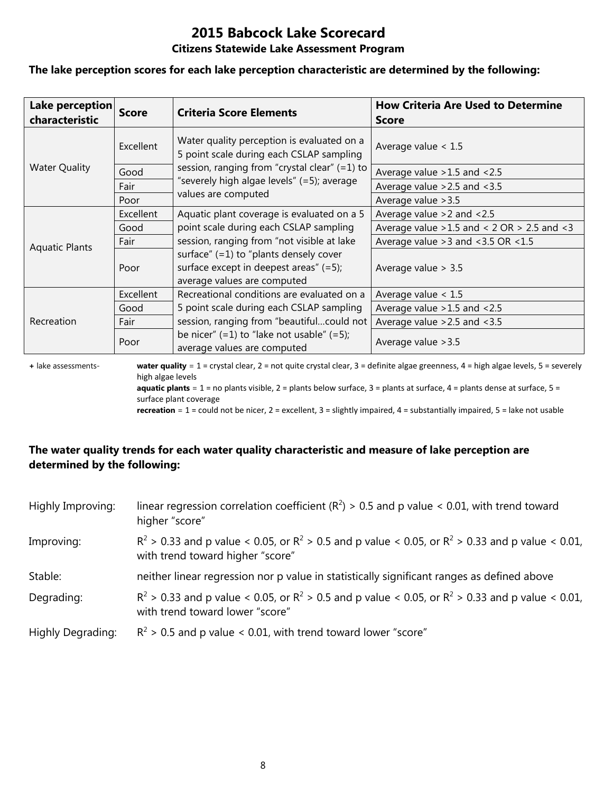# **2015 Babcock Lake Scorecard**

#### **Citizens Statewide Lake Assessment Program**

#### **The lake perception scores for each lake perception characteristic are determined by the following:**

| Lake perception<br>characteristic | <b>Score</b> | <b>Criteria Score Elements</b>                                                                                       | <b>How Criteria Are Used to Determine</b><br><b>Score</b> |
|-----------------------------------|--------------|----------------------------------------------------------------------------------------------------------------------|-----------------------------------------------------------|
|                                   | Excellent    | Water quality perception is evaluated on a<br>5 point scale during each CSLAP sampling                               | Average value $< 1.5$                                     |
| <b>Water Quality</b>              | Good         | session, ranging from "crystal clear" (=1) to                                                                        | Average value $>1.5$ and $<2.5$                           |
|                                   | Fair         | "severely high algae levels" (=5); average                                                                           | Average value $>2.5$ and $<3.5$                           |
|                                   | Poor         | values are computed                                                                                                  | Average value > 3.5                                       |
|                                   | Excellent    | Aquatic plant coverage is evaluated on a 5                                                                           | Average value $>2$ and $< 2.5$                            |
| <b>Aquatic Plants</b>             | Good         | point scale during each CSLAP sampling                                                                               | Average value $>1.5$ and < 2 OR $> 2.5$ and < 3           |
|                                   | Fair         | session, ranging from "not visible at lake                                                                           | Average value $>3$ and $<3.5$ OR $<1.5$                   |
|                                   | Poor         | surface" $(=1)$ to "plants densely cover<br>surface except in deepest areas" $(=5)$ ;<br>average values are computed | Average value $> 3.5$                                     |
|                                   | Excellent    | Recreational conditions are evaluated on a                                                                           | Average value $< 1.5$                                     |
| Recreation                        | Good         | 5 point scale during each CSLAP sampling                                                                             | Average value $>1.5$ and $<2.5$                           |
|                                   | Fair         | session, ranging from "beautifulcould not                                                                            | Average value $>2.5$ and $<3.5$                           |
|                                   | Poor         | be nicer" $(=1)$ to "lake not usable" $(=5)$ ;<br>average values are computed                                        | Average value > 3.5                                       |

**+** lake assessments- **water quality** = 1 = crystal clear, 2 = not quite crystal clear, 3 = definite algae greenness, 4 = high algae levels, 5 = severely high algae levels **aquatic plants** = 1 = no plants visible, 2 = plants below surface, 3 = plants at surface, 4 = plants dense at surface, 5 =

surface plant coverage

**recreation** = 1 = could not be nicer, 2 = excellent, 3 = slightly impaired, 4 = substantially impaired, 5 = lake not usable

#### **The water quality trends for each water quality characteristic and measure of lake perception are determined by the following:**

| Highly Improving:        | linear regression correlation coefficient ( $R^2$ ) > 0.5 and p value < 0.01, with trend toward<br>higher "score"                           |
|--------------------------|---------------------------------------------------------------------------------------------------------------------------------------------|
| Improving:               | $R^2 > 0.33$ and p value < 0.05, or $R^2 > 0.5$ and p value < 0.05, or $R^2 > 0.33$ and p value < 0.01,<br>with trend toward higher "score" |
| Stable:                  | neither linear regression nor p value in statistically significant ranges as defined above                                                  |
| Degrading:               | $R^2 > 0.33$ and p value < 0.05, or $R^2 > 0.5$ and p value < 0.05, or $R^2 > 0.33$ and p value < 0.01,<br>with trend toward lower "score"  |
| <b>Highly Degrading:</b> | $R^2$ > 0.5 and p value < 0.01, with trend toward lower "score"                                                                             |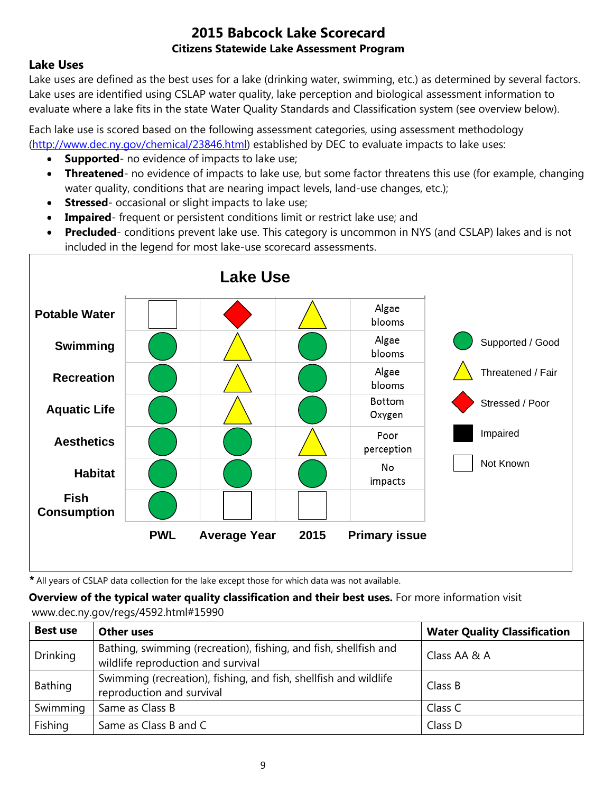#### **Lake Uses**

Lake uses are defined as the best uses for a lake (drinking water, swimming, etc.) as determined by several factors. Lake uses are identified using CSLAP water quality, lake perception and biological assessment information to evaluate where a lake fits in the state Water Quality Standards and Classification system (see overview below).

Each lake use is scored based on the following assessment categories, using assessment methodology [\(http://www.dec.ny.gov/chemical/23846.html\)](http://www.dec.ny.gov/chemical/23846.html) established by DEC to evaluate impacts to lake uses:

- **Supported** no evidence of impacts to lake use;
- **Threatened** no evidence of impacts to lake use, but some factor threatens this use (for example, changing water quality, conditions that are nearing impact levels, land-use changes, etc.);
- **Stressed** occasional or slight impacts to lake use;
- **Impaired** frequent or persistent conditions limit or restrict lake use; and
- **Precluded** conditions prevent lake use. This category is uncommon in NYS (and CSLAP) lakes and is not included in the legend for most lake-use scorecard assessments.



*\** All years of CSLAP data collection for the lake except those for which data was not available.

**Overview of the typical water quality classification and their best uses.** For more information visit www.dec.ny.gov/regs/4592.html#15990

| <b>Best use</b> | <b>Other uses</b>                                                                                      | <b>Water Quality Classification</b> |
|-----------------|--------------------------------------------------------------------------------------------------------|-------------------------------------|
| <b>Drinking</b> | Bathing, swimming (recreation), fishing, and fish, shellfish and<br>wildlife reproduction and survival | Class AA & A                        |
| Bathing         | Swimming (recreation), fishing, and fish, shellfish and wildlife<br>reproduction and survival          | Class B                             |
| Swimming        | Same as Class B                                                                                        | Class C                             |
| Fishing         | Same as Class B and C                                                                                  | Class D                             |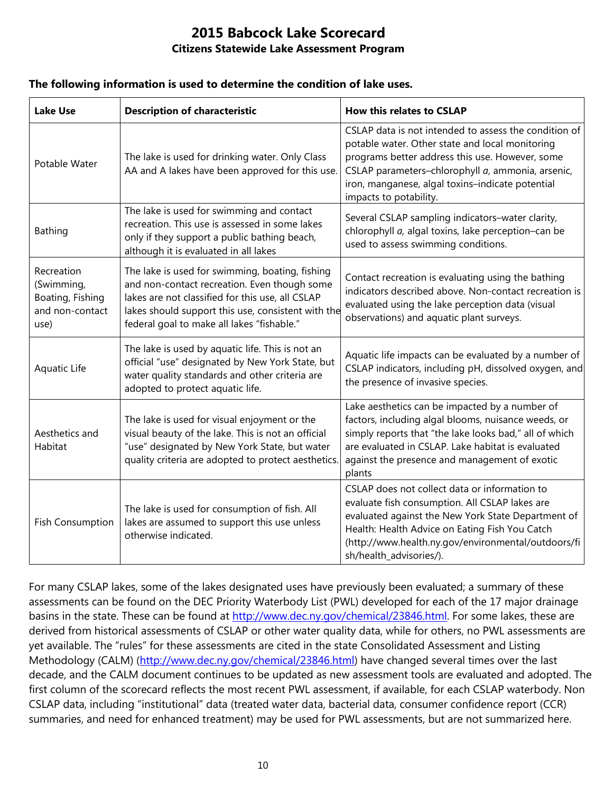#### **The following information is used to determine the condition of lake uses.**

| <b>Lake Use</b>                                                         | <b>Description of characteristic</b>                                                                                                                                                                                                                    | <b>How this relates to CSLAP</b>                                                                                                                                                                                                                                                               |  |
|-------------------------------------------------------------------------|---------------------------------------------------------------------------------------------------------------------------------------------------------------------------------------------------------------------------------------------------------|------------------------------------------------------------------------------------------------------------------------------------------------------------------------------------------------------------------------------------------------------------------------------------------------|--|
| Potable Water                                                           | The lake is used for drinking water. Only Class<br>AA and A lakes have been approved for this use.                                                                                                                                                      | CSLAP data is not intended to assess the condition of<br>potable water. Other state and local monitoring<br>programs better address this use. However, some<br>CSLAP parameters-chlorophyll a, ammonia, arsenic,<br>iron, manganese, algal toxins-indicate potential<br>impacts to potability. |  |
| Bathing                                                                 | The lake is used for swimming and contact<br>recreation. This use is assessed in some lakes<br>only if they support a public bathing beach,<br>although it is evaluated in all lakes                                                                    | Several CSLAP sampling indicators-water clarity,<br>chlorophyll a, algal toxins, lake perception-can be<br>used to assess swimming conditions.                                                                                                                                                 |  |
| Recreation<br>(Swimming,<br>Boating, Fishing<br>and non-contact<br>use) | The lake is used for swimming, boating, fishing<br>and non-contact recreation. Even though some<br>lakes are not classified for this use, all CSLAP<br>lakes should support this use, consistent with the<br>federal goal to make all lakes "fishable." | Contact recreation is evaluating using the bathing<br>indicators described above. Non-contact recreation is<br>evaluated using the lake perception data (visual<br>observations) and aquatic plant surveys.                                                                                    |  |
| Aquatic Life                                                            | The lake is used by aquatic life. This is not an<br>official "use" designated by New York State, but<br>water quality standards and other criteria are<br>adopted to protect aquatic life.                                                              | Aquatic life impacts can be evaluated by a number of<br>CSLAP indicators, including pH, dissolved oxygen, and<br>the presence of invasive species.                                                                                                                                             |  |
| Aesthetics and<br>Habitat                                               | The lake is used for visual enjoyment or the<br>visual beauty of the lake. This is not an official<br>"use" designated by New York State, but water<br>quality criteria are adopted to protect aesthetics.                                              | Lake aesthetics can be impacted by a number of<br>factors, including algal blooms, nuisance weeds, or<br>simply reports that "the lake looks bad," all of which<br>are evaluated in CSLAP. Lake habitat is evaluated<br>against the presence and management of exotic<br>plants                |  |
| <b>Fish Consumption</b>                                                 | The lake is used for consumption of fish. All<br>lakes are assumed to support this use unless<br>otherwise indicated.                                                                                                                                   | CSLAP does not collect data or information to<br>evaluate fish consumption. All CSLAP lakes are<br>evaluated against the New York State Department of<br>Health: Health Advice on Eating Fish You Catch<br>(http://www.health.ny.gov/environmental/outdoors/fi<br>sh/health_advisories/).      |  |

For many CSLAP lakes, some of the lakes designated uses have previously been evaluated; a summary of these assessments can be found on the DEC Priority Waterbody List (PWL) developed for each of the 17 major drainage basins in the state. These can be found at [http://www.dec.ny.gov/chemical/23846.html.](http://www.dec.ny.gov/chemical/23846.html) For some lakes, these are derived from historical assessments of CSLAP or other water quality data, while for others, no PWL assessments are yet available. The "rules" for these assessments are cited in the state Consolidated Assessment and Listing Methodology (CALM) [\(http://www.dec.ny.gov/chemical/23846.html\)](http://www.dec.ny.gov/chemical/23846.html) have changed several times over the last decade, and the CALM document continues to be updated as new assessment tools are evaluated and adopted. The first column of the scorecard reflects the most recent PWL assessment, if available, for each CSLAP waterbody. Non CSLAP data, including "institutional" data (treated water data, bacterial data, consumer confidence report (CCR) summaries, and need for enhanced treatment) may be used for PWL assessments, but are not summarized here.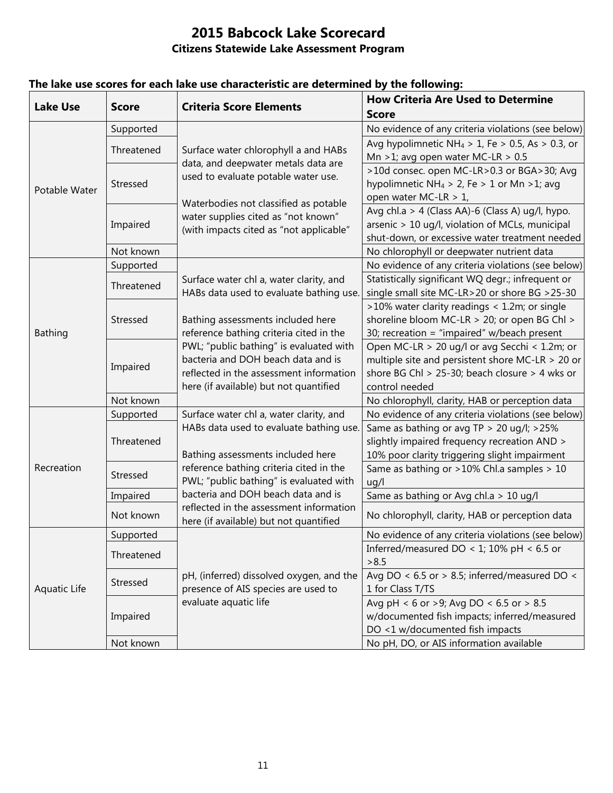| <b>Lake Use</b> | <b>Score</b> | <b>Criteria Score Elements</b>                                                                                          | <b>How Criteria Are Used to Determine</b>                    |
|-----------------|--------------|-------------------------------------------------------------------------------------------------------------------------|--------------------------------------------------------------|
|                 |              |                                                                                                                         | <b>Score</b>                                                 |
| Potable Water   | Supported    | Surface water chlorophyll a and HABs<br>data, and deepwater metals data are<br>used to evaluate potable water use.      | No evidence of any criteria violations (see below)           |
|                 | Threatened   |                                                                                                                         | Avg hypolimnetic NH <sub>4</sub> > 1, Fe > 0.5, As > 0.3, or |
|                 |              |                                                                                                                         | Mn >1; avg open water MC-LR > $0.5$                          |
|                 | Stressed     |                                                                                                                         | >10d consec. open MC-LR>0.3 or BGA>30; Avg                   |
|                 |              |                                                                                                                         | hypolimnetic NH <sub>4</sub> > 2, Fe > 1 or Mn > 1; avg      |
|                 |              | Waterbodies not classified as potable<br>water supplies cited as "not known"<br>(with impacts cited as "not applicable" | open water MC-LR > 1,                                        |
|                 | Impaired     |                                                                                                                         | Avg chl.a > 4 (Class AA)-6 (Class A) ug/l, hypo.             |
|                 |              |                                                                                                                         | arsenic > 10 ug/l, violation of MCLs, municipal              |
|                 |              |                                                                                                                         | shut-down, or excessive water treatment needed               |
|                 | Not known    |                                                                                                                         | No chlorophyll or deepwater nutrient data                    |
| <b>Bathing</b>  | Supported    | Surface water chl a, water clarity, and<br>HABs data used to evaluate bathing use.                                      | No evidence of any criteria violations (see below)           |
|                 | Threatened   |                                                                                                                         | Statistically significant WQ degr.; infrequent or            |
|                 |              |                                                                                                                         | single small site MC-LR>20 or shore BG >25-30                |
|                 | Stressed     |                                                                                                                         | >10% water clarity readings < 1.2m; or single                |
|                 |              | Bathing assessments included here                                                                                       | shoreline bloom MC-LR > 20; or open BG Chl >                 |
|                 |              | reference bathing criteria cited in the                                                                                 | 30; recreation = "impaired" w/beach present                  |
|                 | Impaired     | PWL; "public bathing" is evaluated with                                                                                 | Open MC-LR > 20 ug/l or avg Secchi < 1.2m; or                |
|                 |              | bacteria and DOH beach data and is                                                                                      | multiple site and persistent shore MC-LR $>$ 20 or           |
|                 |              | reflected in the assessment information                                                                                 | shore BG Chl > 25-30; beach closure > 4 wks or               |
|                 |              | here (if available) but not quantified                                                                                  | control needed                                               |
|                 | Not known    |                                                                                                                         | No chlorophyll, clarity, HAB or perception data              |
|                 | Supported    | Surface water chl a, water clarity, and                                                                                 | No evidence of any criteria violations (see below)           |
|                 | Threatened   | HABs data used to evaluate bathing use.                                                                                 | Same as bathing or avg TP > 20 ug/l; >25%                    |
| Recreation      |              |                                                                                                                         | slightly impaired frequency recreation AND >                 |
|                 |              | Bathing assessments included here                                                                                       | 10% poor clarity triggering slight impairment                |
|                 | Stressed     | reference bathing criteria cited in the                                                                                 | Same as bathing or >10% Chl.a samples > 10                   |
|                 |              | PWL; "public bathing" is evaluated with                                                                                 | uq/l                                                         |
|                 | Impaired     | bacteria and DOH beach data and is                                                                                      | Same as bathing or Avg chl.a > 10 ug/l                       |
|                 | Not known    | reflected in the assessment information<br>here (if available) but not quantified                                       | No chlorophyll, clarity, HAB or perception data              |
| Aquatic Life    | Supported    |                                                                                                                         | No evidence of any criteria violations (see below)           |
|                 | Threatened   |                                                                                                                         | Inferred/measured DO < 1; 10% pH < 6.5 or                    |
|                 |              |                                                                                                                         | > 8.5                                                        |
|                 | Stressed     | pH, (inferred) dissolved oxygen, and the                                                                                | Avg DO < $6.5$ or > 8.5; inferred/measured DO <              |
|                 |              | presence of AIS species are used to                                                                                     | 1 for Class T/TS                                             |
|                 |              | evaluate aquatic life                                                                                                   | Avg pH < 6 or >9; Avg DO < 6.5 or > 8.5                      |
|                 | Impaired     |                                                                                                                         | w/documented fish impacts; inferred/measured                 |
|                 |              |                                                                                                                         | DO <1 w/documented fish impacts                              |
|                 | Not known    |                                                                                                                         | No pH, DO, or AIS information available                      |

### **The lake use scores for each lake use characteristic are determined by the following:**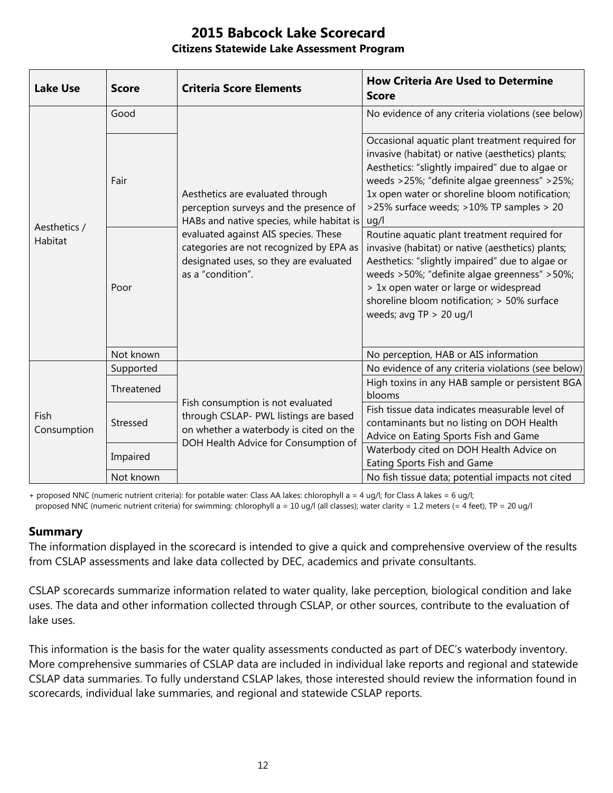| <b>Lake Use</b>         | <b>Score</b> | <b>Criteria Score Elements</b>                                                                                                                                                                                                                                            | <b>How Criteria Are Used to Determine</b><br><b>Score</b>                                                                                                                                                                                                                                                                  |
|-------------------------|--------------|---------------------------------------------------------------------------------------------------------------------------------------------------------------------------------------------------------------------------------------------------------------------------|----------------------------------------------------------------------------------------------------------------------------------------------------------------------------------------------------------------------------------------------------------------------------------------------------------------------------|
| Aesthetics /<br>Habitat | Good         | Aesthetics are evaluated through<br>perception surveys and the presence of<br>HABs and native species, while habitat is<br>evaluated against AIS species. These<br>categories are not recognized by EPA as<br>designated uses, so they are evaluated<br>as a "condition". | No evidence of any criteria violations (see below)                                                                                                                                                                                                                                                                         |
|                         | Fair         |                                                                                                                                                                                                                                                                           | Occasional aquatic plant treatment required for<br>invasive (habitat) or native (aesthetics) plants;<br>Aesthetics: "slightly impaired" due to algae or<br>weeds >25%; "definite algae greenness" >25%;<br>1x open water or shoreline bloom notification;<br>>25% surface weeds; >10% TP samples > 20<br>uq/l              |
|                         | Poor         |                                                                                                                                                                                                                                                                           | Routine aquatic plant treatment required for<br>invasive (habitat) or native (aesthetics) plants;<br>Aesthetics: "slightly impaired" due to algae or<br>weeds >50%; "definite algae greenness" >50%;<br>> 1x open water or large or widespread<br>shoreline bloom notification; > 50% surface<br>weeds; avg $TP > 20$ ug/l |
|                         | Not known    |                                                                                                                                                                                                                                                                           | No perception, HAB or AIS information                                                                                                                                                                                                                                                                                      |
| Fish<br>Consumption     | Supported    | Fish consumption is not evaluated<br>through CSLAP- PWL listings are based<br>on whether a waterbody is cited on the<br>DOH Health Advice for Consumption of                                                                                                              | No evidence of any criteria violations (see below)                                                                                                                                                                                                                                                                         |
|                         | Threatened   |                                                                                                                                                                                                                                                                           | High toxins in any HAB sample or persistent BGA<br>blooms                                                                                                                                                                                                                                                                  |
|                         | Stressed     |                                                                                                                                                                                                                                                                           | Fish tissue data indicates measurable level of<br>contaminants but no listing on DOH Health<br>Advice on Eating Sports Fish and Game                                                                                                                                                                                       |
|                         | Impaired     |                                                                                                                                                                                                                                                                           | Waterbody cited on DOH Health Advice on<br>Eating Sports Fish and Game                                                                                                                                                                                                                                                     |
|                         | Not known    |                                                                                                                                                                                                                                                                           | No fish tissue data; potential impacts not cited                                                                                                                                                                                                                                                                           |

+ proposed NNC (numeric nutrient criteria): for potable water: Class AA lakes: chlorophyll a = 4 ug/l; for Class A lakes = 6 ug/l; proposed NNC (numeric nutrient criteria) for swimming: chlorophyll a = 10 ug/l (all classes); water clarity = 1.2 meters (= 4 feet), TP = 20 ug/l

#### **Summary**

The information displayed in the scorecard is intended to give a quick and comprehensive overview of the results from CSLAP assessments and lake data collected by DEC, academics and private consultants.

CSLAP scorecards summarize information related to water quality, lake perception, biological condition and lake uses. The data and other information collected through CSLAP, or other sources, contribute to the evaluation of lake uses.

This information is the basis for the water quality assessments conducted as part of DEC's waterbody inventory. More comprehensive summaries of CSLAP data are included in individual lake reports and regional and statewide CSLAP data summaries. To fully understand CSLAP lakes, those interested should review the information found in scorecards, individual lake summaries, and regional and statewide CSLAP reports.